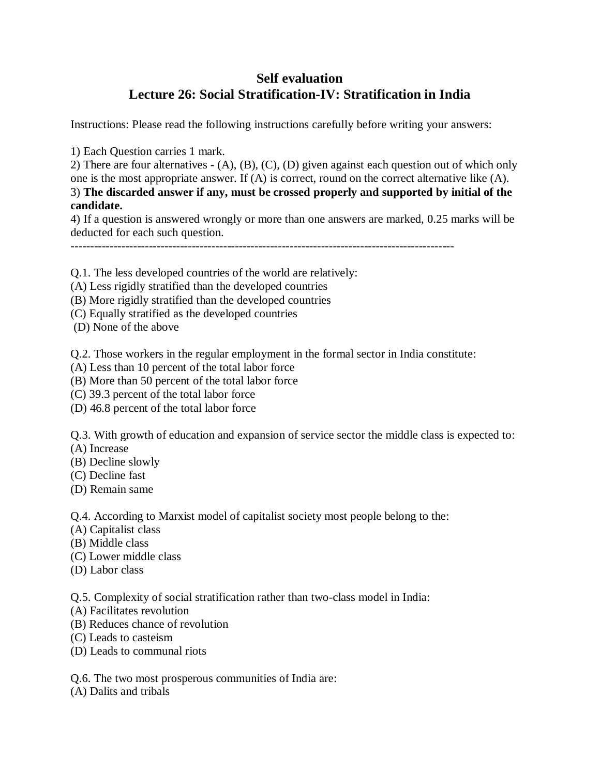## **Self evaluation Lecture 26: Social Stratification-IV: Stratification in India**

Instructions: Please read the following instructions carefully before writing your answers:

1) Each Question carries 1 mark.

2) There are four alternatives - (A), (B), (C), (D) given against each question out of which only one is the most appropriate answer. If (A) is correct, round on the correct alternative like (A). 3) **The discarded answer if any, must be crossed properly and supported by initial of the candidate.**

4) If a question is answered wrongly or more than one answers are marked, 0.25 marks will be deducted for each such question.

--------------------------------------------------------------------------------------------------

Q.1. The less developed countries of the world are relatively:

- (A) Less rigidly stratified than the developed countries
- (B) More rigidly stratified than the developed countries
- (C) Equally stratified as the developed countries
- (D) None of the above

Q.2. Those workers in the regular employment in the formal sector in India constitute:

- (A) Less than 10 percent of the total labor force
- (B) More than 50 percent of the total labor force
- (C) 39.3 percent of the total labor force
- (D) 46.8 percent of the total labor force

Q.3. With growth of education and expansion of service sector the middle class is expected to:

- (A) Increase
- (B) Decline slowly
- (C) Decline fast
- (D) Remain same

Q.4. According to Marxist model of capitalist society most people belong to the:

- (A) Capitalist class
- (B) Middle class
- (C) Lower middle class
- (D) Labor class

Q.5. Complexity of social stratification rather than two-class model in India:

- (A) Facilitates revolution
- (B) Reduces chance of revolution
- (C) Leads to casteism
- (D) Leads to communal riots

Q.6. The two most prosperous communities of India are:

(A) Dalits and tribals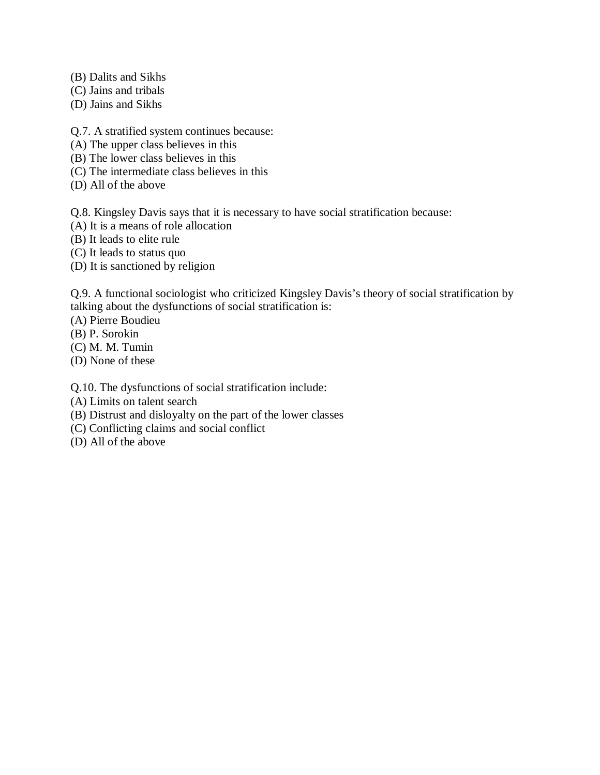(B) Dalits and Sikhs

- (C) Jains and tribals
- (D) Jains and Sikhs

Q.7. A stratified system continues because:

- (A) The upper class believes in this
- (B) The lower class believes in this
- (C) The intermediate class believes in this
- (D) All of the above

Q.8. Kingsley Davis says that it is necessary to have social stratification because:

- (A) It is a means of role allocation
- (B) It leads to elite rule
- (C) It leads to status quo
- (D) It is sanctioned by religion

Q.9. A functional sociologist who criticized Kingsley Davis's theory of social stratification by talking about the dysfunctions of social stratification is:

- (A) Pierre Boudieu
- (B) P. Sorokin
- (C) M. M. Tumin
- (D) None of these

Q.10. The dysfunctions of social stratification include:

- (A) Limits on talent search
- (B) Distrust and disloyalty on the part of the lower classes
- (C) Conflicting claims and social conflict
- (D) All of the above